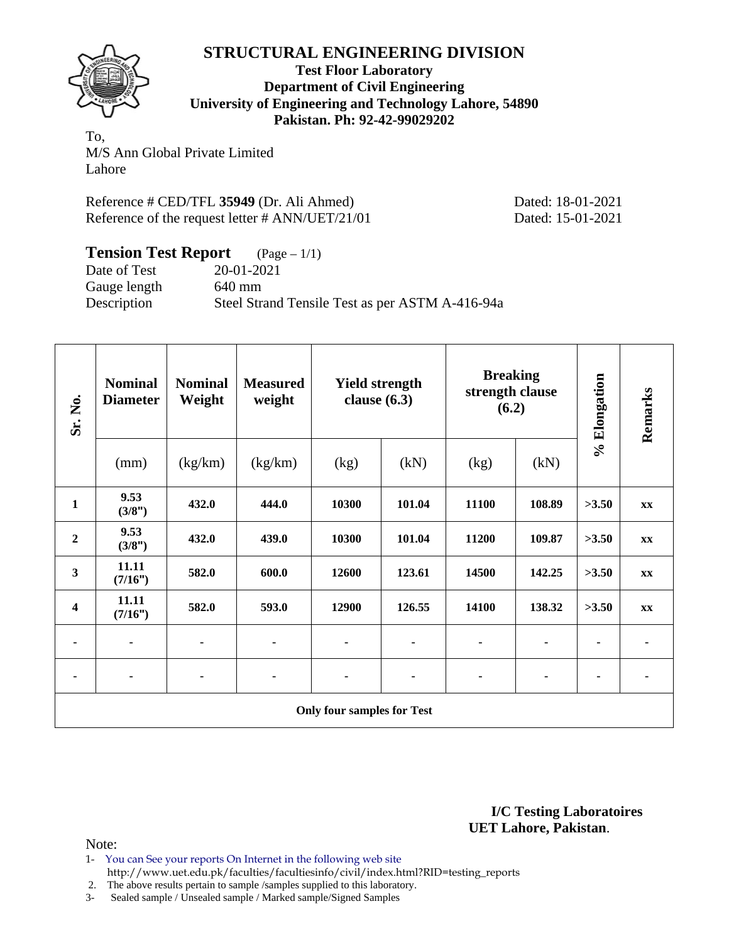# **STRUCTURAL ENGINEERING DIVISION**



**Test Floor Laboratory Department of Civil Engineering University of Engineering and Technology Lahore, 54890 Pakistan. Ph: 92-42-99029202** 

To, M/S Ann Global Private Limited Lahore

Reference # CED/TFL **35949** (Dr. Ali Ahmed) Dated: 18-01-2021 Reference of the request letter # ANN/UET/21/01 Dated: 15-01-2021

| <b>Tension Test Report</b> $(Page-1/1)$ |                                                 |
|-----------------------------------------|-------------------------------------------------|
| Date of Test                            | 20-01-2021                                      |
| Gauge length                            | 640 mm                                          |
| Description                             | Steel Strand Tensile Test as per ASTM A-416-94a |

| Sr. No.                           | <b>Nominal</b><br><b>Diameter</b> | <b>Nominal</b><br>Weight | <b>Measured</b><br>weight | <b>Yield strength</b><br>clause $(6.3)$ |        | <b>Breaking</b><br>strength clause<br>(6.2) |        | % Elongation | Remarks       |
|-----------------------------------|-----------------------------------|--------------------------|---------------------------|-----------------------------------------|--------|---------------------------------------------|--------|--------------|---------------|
|                                   | (mm)                              | (kg/km)                  | (kg/km)                   | (kg)                                    | (kN)   | (kg)                                        | (kN)   |              |               |
| $\mathbf{1}$                      | 9.53<br>(3/8")                    | 432.0                    | 444.0                     | 10300                                   | 101.04 | 11100                                       | 108.89 | >3.50        | XX            |
| $\boldsymbol{2}$                  | 9.53<br>(3/8")                    | 432.0                    | 439.0                     | 10300                                   | 101.04 | 11200                                       | 109.87 | >3.50        | $\mathbf{XX}$ |
| $\overline{\mathbf{3}}$           | 11.11<br>(7/16")                  | 582.0                    | 600.0                     | 12600                                   | 123.61 | 14500                                       | 142.25 | >3.50        | XX            |
| $\boldsymbol{4}$                  | 11.11<br>(7/16")                  | 582.0                    | 593.0                     | 12900                                   | 126.55 | 14100                                       | 138.32 | >3.50        | XX            |
|                                   |                                   |                          | ٠                         |                                         | ٠      | ۰                                           | ٠      |              |               |
| ٠                                 |                                   |                          |                           |                                         | ٠      | ٠                                           | ۰      |              |               |
| <b>Only four samples for Test</b> |                                   |                          |                           |                                         |        |                                             |        |              |               |

**I/C Testing Laboratoires UET Lahore, Pakistan**.

Note:

- 1- You can See your reports On Internet in the following web site http://www.uet.edu.pk/faculties/facultiesinfo/civil/index.html?RID=testing\_reports
- 2. The above results pertain to sample /samples supplied to this laboratory.

3- Sealed sample / Unsealed sample / Marked sample/Signed Samples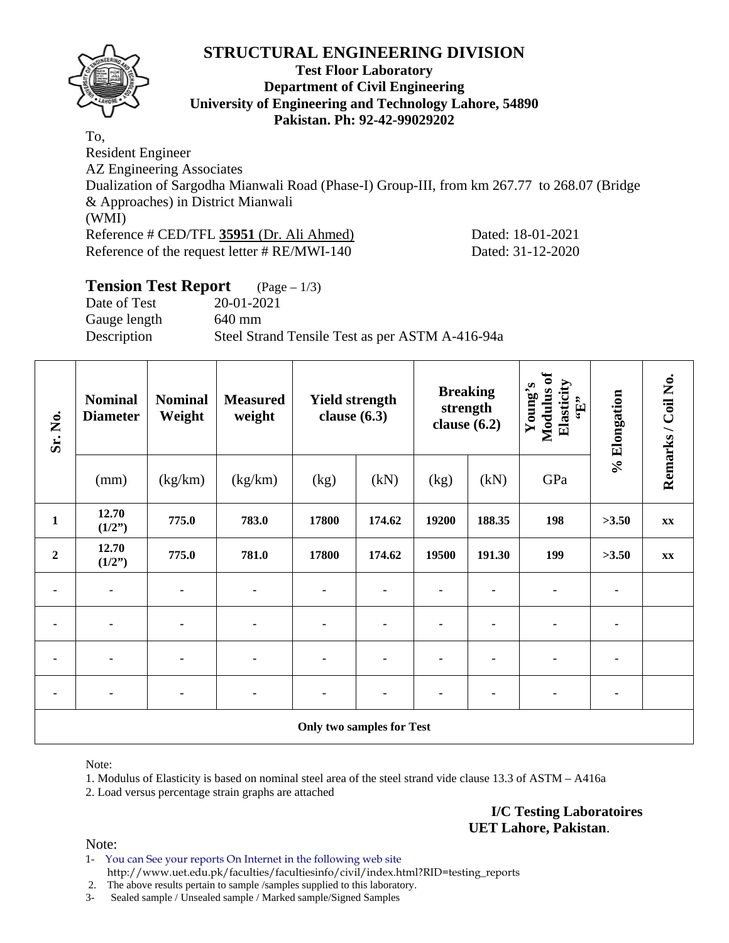# **STRUCTURAL ENGINEERING DIVISION**



### **Test Floor Laboratory Department of Civil Engineering University of Engineering and Technology Lahore, 54890 Pakistan. Ph: 92-42-99029202**

To, Resident Engineer AZ Engineering Associates Dualization of Sargodha Mianwali Road (Phase-I) Group-III, from km 267.77 to 268.07 (Bridge & Approaches) in District Mianwali (WMI) Reference # CED/TFL **35951** (Dr. Ali Ahmed) Dated: 18-01-2021 Reference of the request letter # RE/MWI-140 Dated: 31-12-2020

# **Tension Test Report** (Page – 1/3) Date of Test 20-01-2021 Gauge length 640 mm Description Steel Strand Tensile Test as per ASTM A-416-94a

| Sr. No.                          | <b>Nominal</b><br><b>Diameter</b> | <b>Nominal</b><br>Weight | <b>Measured</b><br>weight | <b>Yield strength</b><br>clause $(6.3)$ |        | <b>Breaking</b><br>strength<br>clause $(6.2)$ |        | Modulus of<br>Elasticity<br>Young's<br>$\mathbf{f}$ . | % Elongation | Remarks / Coil No. |
|----------------------------------|-----------------------------------|--------------------------|---------------------------|-----------------------------------------|--------|-----------------------------------------------|--------|-------------------------------------------------------|--------------|--------------------|
|                                  | (mm)                              | (kg/km)                  | (kg/km)                   | (kg)                                    | (kN)   | (kg)                                          | (kN)   | GPa                                                   |              |                    |
| $\mathbf{1}$                     | 12.70<br>(1/2")                   | 775.0                    | 783.0                     | 17800                                   | 174.62 | 19200                                         | 188.35 | 198                                                   | >3.50        | XX                 |
| $\boldsymbol{2}$                 | 12.70<br>(1/2")                   | 775.0                    | 781.0                     | 17800                                   | 174.62 | 19500                                         | 191.30 | 199                                                   | >3.50        | XX                 |
| ۰                                | $\blacksquare$                    | ٠                        | ٠                         | ٠                                       |        |                                               |        | ۰                                                     |              |                    |
| $\blacksquare$                   |                                   |                          | $\blacksquare$            | $\blacksquare$                          |        |                                               |        | ۰                                                     |              |                    |
|                                  |                                   |                          |                           |                                         |        |                                               |        |                                                       |              |                    |
| ۰                                | $\blacksquare$                    | ۰                        | ٠                         | ۰                                       |        |                                               |        | ۰                                                     | ۰            |                    |
| <b>Only two samples for Test</b> |                                   |                          |                           |                                         |        |                                               |        |                                                       |              |                    |

Note:

1. Modulus of Elasticity is based on nominal steel area of the steel strand vide clause 13.3 of ASTM – A416a 2. Load versus percentage strain graphs are attached

> **I/C Testing Laboratoires UET Lahore, Pakistan**.

Note:

1- You can See your reports On Internet in the following web site http://www.uet.edu.pk/faculties/facultiesinfo/civil/index.html?RID=testing\_reports

2. The above results pertain to sample /samples supplied to this laboratory.

3- Sealed sample / Unsealed sample / Marked sample/Signed Samples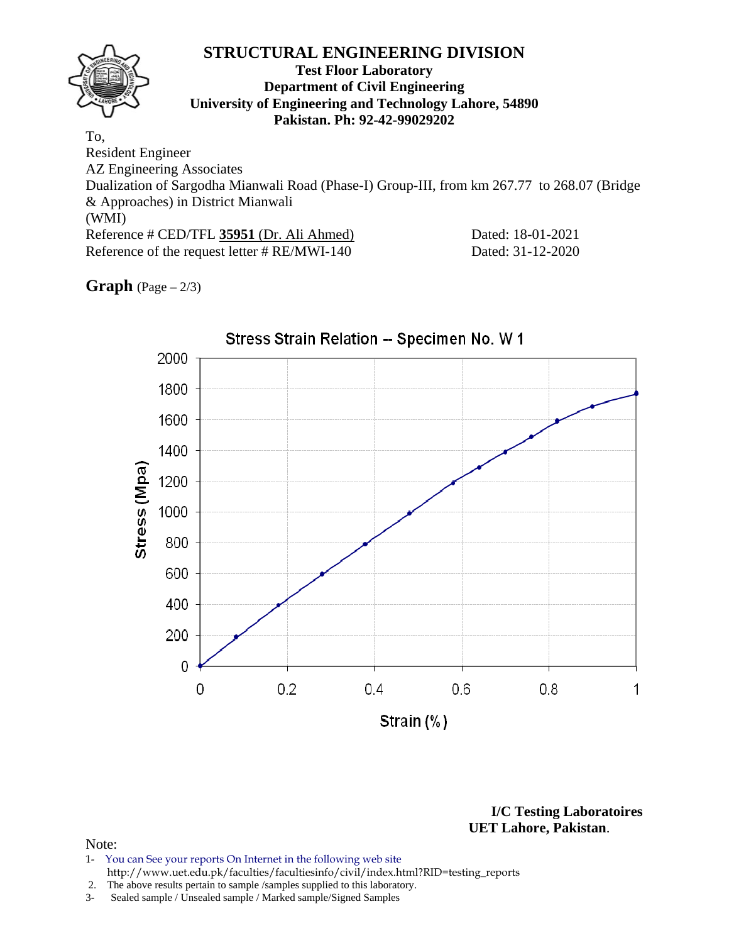## **STRUCTURAL ENGINEERING DIVISION Test Floor Laboratory Department of Civil Engineering University of Engineering and Technology Lahore, 54890 Pakistan. Ph: 92-42-99029202**  To, Resident Engineer AZ Engineering Associates Dualization of Sargodha Mianwali Road (Phase-I) Group-III, from km 267.77 to 268.07 (Bridge & Approaches) in District Mianwali (WMI)

Reference # CED/TFL **35951** (Dr. Ali Ahmed) Dated: 18-01-2021 Reference of the request letter # RE/MWI-140 Dated: 31-12-2020

**Graph**  $(Page - 2/3)$ 



**I/C Testing Laboratoires UET Lahore, Pakistan**.

#### Note:

- 1- You can See your reports On Internet in the following web site http://www.uet.edu.pk/faculties/facultiesinfo/civil/index.html?RID=testing\_reports
- 2. The above results pertain to sample /samples supplied to this laboratory.
- 3- Sealed sample / Unsealed sample / Marked sample/Signed Samples